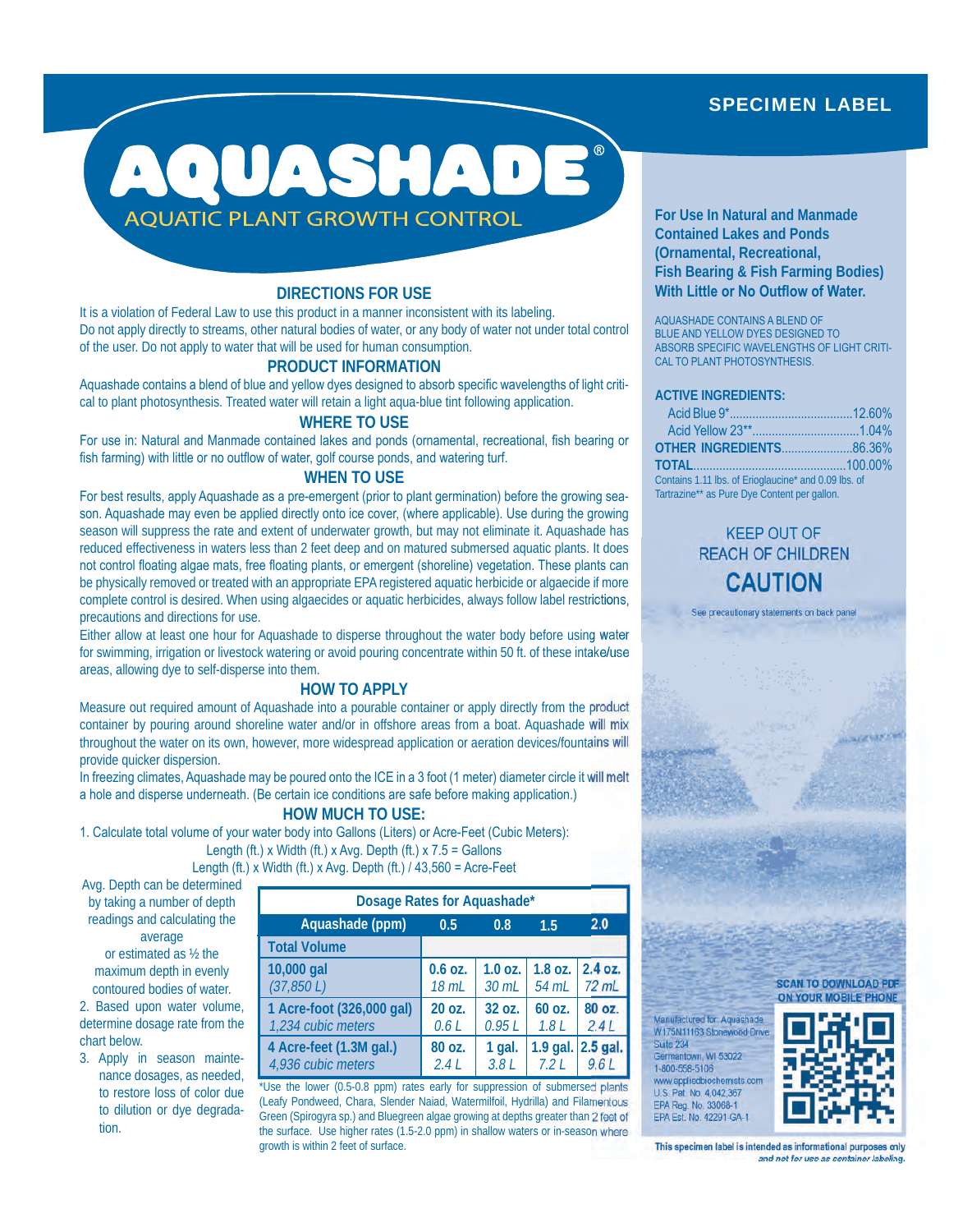# SPECIMEN LABEL



# **DIRECTIONS FOR USE**

It is a violation of Federal Law to use this product in a manner inconsistent with its labeling. Do not apply directly to streams, other natural bodies of water, or any body of water not under total control of the user. Do not apply to water that will be used for human consumption.

### **PRODUCT INFORMATION**

Aquashade contains a blend of blue and yellow dyes designed to absorb specific wavelengths of light critical to plant photosynthesis. Treated water will retain a light aqua-blue tint following application.

## **WHERE TO USE**

For use in: Natural and Manmade contained lakes and ponds (ornamental, recreational, fish bearing or fish farming) with little or no outflow of water, golf course ponds, and watering turf.

# **WHEN TO USE**

For best results, apply Aquashade as a pre-emergent (prior to plant germination) before the growing season. Aquashade may even be applied directly onto ice cover, (where applicable). Use during the growing season will suppress the rate and extent of underwater growth, but may not eliminate it. Aquashade has reduced effectiveness in waters less than 2 feet deep and on matured submersed aquatic plants. It does not control floating algae mats, free floating plants, or emergent (shoreline) vegetation. These plants can be physically removed or treated with an appropriate EPA registered aquatic herbicide or algaecide if more complete control is desired. When using algaecides or aquatic herbicides, always follow label restrictions, precautions and directions for use.

Either allow at least one hour for Aquashade to disperse throughout the water body before using water for swimming, irrigation or livestock watering or avoid pouring concentrate within 50 ft. of these intake/use areas, allowing dye to self-disperse into them.

## **HOW TO APPLY**

Measure out required amount of Aquashade into a pourable container or apply directly from the product container by pouring around shoreline water and/or in offshore areas from a boat. Aquashade will mix throughout the water on its own, however, more widespread application or aeration devices/fountains will provide quicker dispersion.

In freezing climates, Aquashade may be poured onto the ICE in a 3 foot (1 meter) diameter circle it will melt a hole and disperse underneath. (Be certain ice conditions are safe before making application.)

## **HOW MUCH TO USE:**

1. Calculate total volume of your water body into Gallons (Liters) or Acre-Feet (Cubic Meters): Length (ft.) x Width (ft.) x Avg. Depth (ft.)  $x 7.5 =$  Gallons

Length (ft.) x Width (ft.) x Avg. Depth (ft.)  $/$  43,560 = Acre-Feet

Avg. Depth can be determined by taking a number of depth readings and calculating the average or estimated as ½ the maximum depth in evenly

contoured bodies of water. 2. Based upon water volume, determine dosage rate from the chart below.

3. Apply in season maintenance dosages, as needed, to restore loss of color due to dilution or dye degradation.

| Dosage Rates for Aquashade* |           |           |            |                 |  |
|-----------------------------|-----------|-----------|------------|-----------------|--|
| Aquashade (ppm)             | 0.5       | 0.8       | 1.5        | 2.0             |  |
| <b>Total Volume</b>         |           |           |            |                 |  |
| 10,000 gal                  | $0.6$ OZ. | $1.0$ oz. | 54 mL      | 1.8 oz. 2.4 oz. |  |
| (37, 850 L)                 | 18 mL     | 30 mL     |            | $72$ mL         |  |
| 1 Acre-foot (326,000 gal)   | 20 oz.    | 32 oz.    | 60 oz.     | 80 oz.          |  |
| 1,234 cubic meters          | 0.6L      | 0.95L     | 1.8L       | 2.4L            |  |
| 4 Acre-feet (1.3M gal.)     | 80 oz.    | 1 gal.    | $1.9$ gal. | $2.5$ gal.      |  |
| 4,936 cubic meters          | 2.4L      | 3.8L      | 7.2L       |                 |  |

\*Use the lower (0.5-0.8 ppm) rates early for suppression of submersed plants (Leafy Pondweed, Chara, Slender Naiad, Watermilfoil, Hydrilla) and Filamentous Green (Spirogyra sp.) and Bluegreen algae growing at depths greater than 2 feet of the surface. Use higher rates (1.5-2.0 ppm) in shallow waters or in-season where growth is within 2 feet of surface.

**For Use In Natural and Manmade Contained Lakes and Ponds (Ornamental, Recreational, Fish Bearing & Fish Farming Bodies) With Little or No Outflow of Water.**

AQUASHADE CONTAINS A BLEND OF BLUE AND YELLOW DYES DESIGNED TO ABSORB SPECIFIC WAVELENGTHS OF LIGHT CRITI-CAL TO PLANT PHOTOSYNTHESIS.

### **ACTIVE INGREDIENTS:**

| OTHER INGREDIENTS86.36%                              |  |
|------------------------------------------------------|--|
|                                                      |  |
| Contains 1.11 lbs. of Erioglaucine* and 0.09 lbs. of |  |
| Tartrazine** as Pure Dye Content per gallon.         |  |

# KEEP OUT OF REACH OF CHILDREN **CAUTION**

See precautionary statements on back panel

#### **SCAN TO DOWNLOAD PDF ON YOUR MOBILE PHONE**

Manufactured for: Aquashade W175N11163 Stonewood Drive Suite 234 Germantown, WI 53022 1-800-558-5106 www.appliedbiochemists.com U.S. Pat. No. 4,042,367 EPA Reg. No. 33068-1 EPA Est. No. 42291-GA-1



**This specimen label is intended as informational purposes only and not for use as container labeling.**